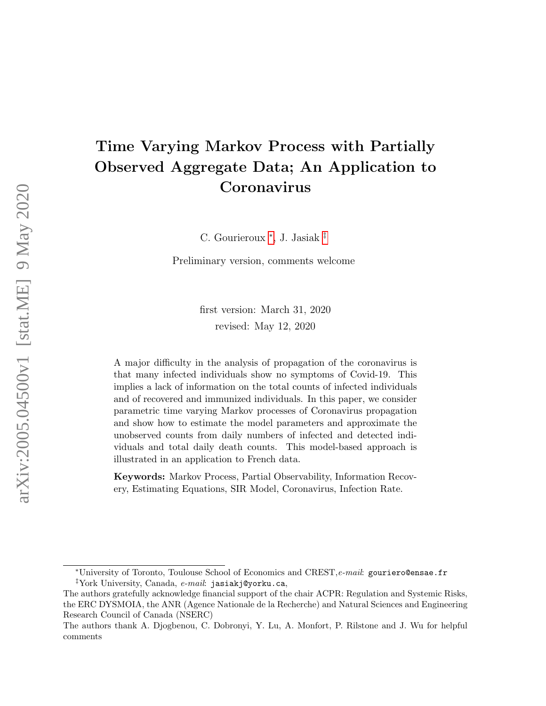# Time Varying Markov Process with Partially Observed Aggregate Data; An Application to Coronavirus

C. Gourieroux [∗](#page-0-0) , J. Jasiak [‡](#page-0-1)

Preliminary version, comments welcome

first version: March 31, 2020 revised: May 12, 2020

A major difficulty in the analysis of propagation of the coronavirus is that many infected individuals show no symptoms of Covid-19. This implies a lack of information on the total counts of infected individuals and of recovered and immunized individuals. In this paper, we consider parametric time varying Markov processes of Coronavirus propagation and show how to estimate the model parameters and approximate the unobserved counts from daily numbers of infected and detected individuals and total daily death counts. This model-based approach is illustrated in an application to French data.

Keywords: Markov Process, Partial Observability, Information Recovery, Estimating Equations, SIR Model, Coronavirus, Infection Rate.

<span id="page-0-0"></span><sup>\*</sup>University of Toronto, Toulouse School of Economics and CREST, e-mail: gouriero@ensae.fr

<span id="page-0-1"></span><sup>&</sup>lt;sup>‡</sup>York University, Canada,  $e$ -mail: jasiakj@yorku.ca,

The authors gratefully acknowledge financial support of the chair ACPR: Regulation and Systemic Risks, the ERC DYSMOIA, the ANR (Agence Nationale de la Recherche) and Natural Sciences and Engineering Research Council of Canada (NSERC)

The authors thank A. Djogbenou, C. Dobronyi, Y. Lu, A. Monfort, P. Rilstone and J. Wu for helpful comments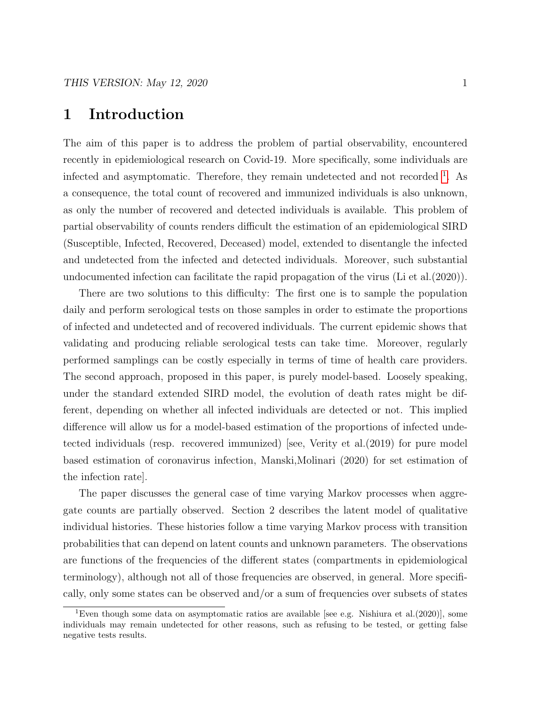### 1 Introduction

The aim of this paper is to address the problem of partial observability, encountered recently in epidemiological research on Covid-19. More specifically, some individuals are infected and asymptomatic. Therefore, they remain undetected and not recorded <sup>[1](#page-1-0)</sup>. As a consequence, the total count of recovered and immunized individuals is also unknown, as only the number of recovered and detected individuals is available. This problem of partial observability of counts renders difficult the estimation of an epidemiological SIRD (Susceptible, Infected, Recovered, Deceased) model, extended to disentangle the infected and undetected from the infected and detected individuals. Moreover, such substantial undocumented infection can facilitate the rapid propagation of the virus (Li et al.(2020)).

There are two solutions to this difficulty: The first one is to sample the population daily and perform serological tests on those samples in order to estimate the proportions of infected and undetected and of recovered individuals. The current epidemic shows that validating and producing reliable serological tests can take time. Moreover, regularly performed samplings can be costly especially in terms of time of health care providers. The second approach, proposed in this paper, is purely model-based. Loosely speaking, under the standard extended SIRD model, the evolution of death rates might be different, depending on whether all infected individuals are detected or not. This implied difference will allow us for a model-based estimation of the proportions of infected undetected individuals (resp. recovered immunized) [see, Verity et al.(2019) for pure model based estimation of coronavirus infection, Manski,Molinari (2020) for set estimation of the infection rate].

The paper discusses the general case of time varying Markov processes when aggregate counts are partially observed. Section 2 describes the latent model of qualitative individual histories. These histories follow a time varying Markov process with transition probabilities that can depend on latent counts and unknown parameters. The observations are functions of the frequencies of the different states (compartments in epidemiological terminology), although not all of those frequencies are observed, in general. More specifically, only some states can be observed and/or a sum of frequencies over subsets of states

<span id="page-1-0"></span><sup>&</sup>lt;sup>1</sup>Even though some data on asymptomatic ratios are available [see e.g. Nishiura et al. $(2020)$ ], some individuals may remain undetected for other reasons, such as refusing to be tested, or getting false negative tests results.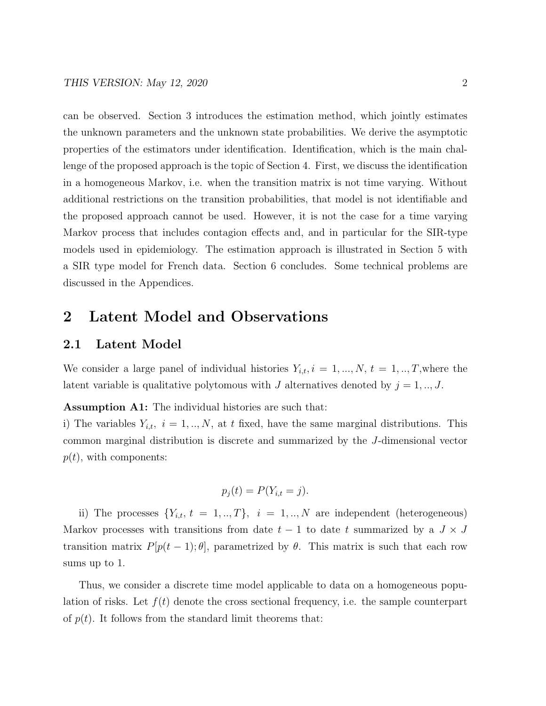can be observed. Section 3 introduces the estimation method, which jointly estimates the unknown parameters and the unknown state probabilities. We derive the asymptotic properties of the estimators under identification. Identification, which is the main challenge of the proposed approach is the topic of Section 4. First, we discuss the identification in a homogeneous Markov, i.e. when the transition matrix is not time varying. Without additional restrictions on the transition probabilities, that model is not identifiable and the proposed approach cannot be used. However, it is not the case for a time varying Markov process that includes contagion effects and, and in particular for the SIR-type models used in epidemiology. The estimation approach is illustrated in Section 5 with a SIR type model for French data. Section 6 concludes. Some technical problems are discussed in the Appendices.

### 2 Latent Model and Observations

#### 2.1 Latent Model

We consider a large panel of individual histories  $Y_{i,t}$ ,  $i = 1, ..., N$ ,  $t = 1, ..., T$ , where the latent variable is qualitative polytomous with J alternatives denoted by  $j = 1, ..., J$ .

Assumption A1: The individual histories are such that:

i) The variables  $Y_{i,t}$ ,  $i = 1, ..., N$ , at t fixed, have the same marginal distributions. This common marginal distribution is discrete and summarized by the J-dimensional vector  $p(t)$ , with components:

$$
p_j(t) = P(Y_{i,t} = j).
$$

ii) The processes  $\{Y_{i,t}, t = 1, ..., T\}, i = 1, ..., N$  are independent (heterogeneous) Markov processes with transitions from date  $t - 1$  to date t summarized by a  $J \times J$ transition matrix  $P[p(t-1);\theta]$ , parametrized by  $\theta$ . This matrix is such that each row sums up to 1.

Thus, we consider a discrete time model applicable to data on a homogeneous population of risks. Let  $f(t)$  denote the cross sectional frequency, i.e. the sample counterpart of  $p(t)$ . It follows from the standard limit theorems that: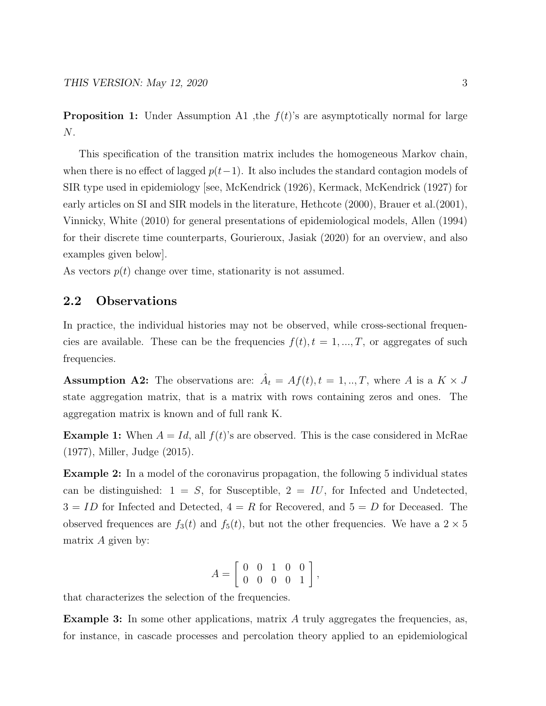**Proposition 1:** Under Assumption A1 , the  $f(t)$ 's are asymptotically normal for large N.

This specification of the transition matrix includes the homogeneous Markov chain, when there is no effect of lagged  $p(t-1)$ . It also includes the standard contagion models of SIR type used in epidemiology [see, McKendrick (1926), Kermack, McKendrick (1927) for early articles on SI and SIR models in the literature, Hethcote (2000), Brauer et al.(2001), Vinnicky, White (2010) for general presentations of epidemiological models, Allen (1994) for their discrete time counterparts, Gourieroux, Jasiak (2020) for an overview, and also examples given below].

As vectors  $p(t)$  change over time, stationarity is not assumed.

#### 2.2 Observations

In practice, the individual histories may not be observed, while cross-sectional frequencies are available. These can be the frequencies  $f(t)$ ,  $t = 1, ..., T$ , or aggregates of such frequencies.

**Assumption A2:** The observations are:  $\hat{A}_t = Af(t), t = 1, ..., T$ , where A is a  $K \times J$ state aggregation matrix, that is a matrix with rows containing zeros and ones. The aggregation matrix is known and of full rank K.

**Example 1:** When  $A = Id$ , all  $f(t)$ 's are observed. This is the case considered in McRae (1977), Miller, Judge (2015).

Example 2: In a model of the coronavirus propagation, the following 5 individual states can be distinguished:  $1 = S$ , for Susceptible,  $2 = IU$ , for Infected and Undetected,  $3 = ID$  for Infected and Detected,  $4 = R$  for Recovered, and  $5 = D$  for Deceased. The observed frequences are  $f_3(t)$  and  $f_5(t)$ , but not the other frequencies. We have a  $2 \times 5$ matrix  $A$  given by:

$$
A = \left[ \begin{array}{rrr} 0 & 0 & 1 & 0 & 0 \\ 0 & 0 & 0 & 0 & 1 \end{array} \right],
$$

that characterizes the selection of the frequencies.

**Example 3:** In some other applications, matrix  $A$  truly aggregates the frequencies, as, for instance, in cascade processes and percolation theory applied to an epidemiological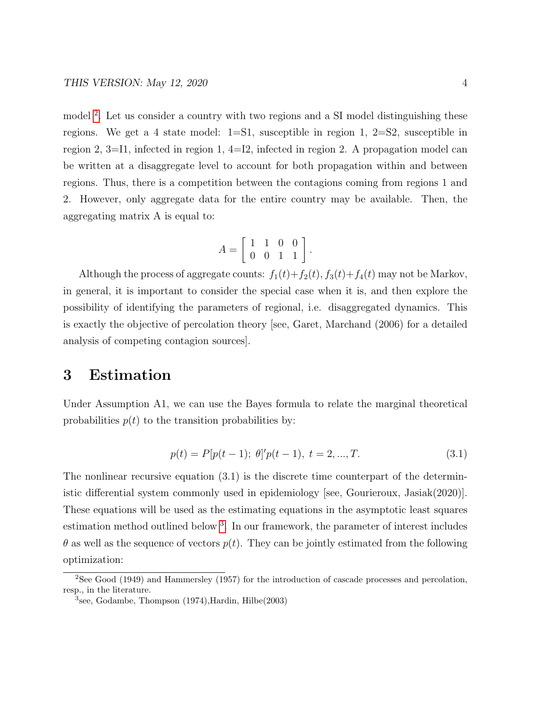model<sup>[2](#page-4-0)</sup>. Let us consider a country with two regions and a SI model distinguishing these regions. We get a 4 state model:  $1=S1$ , susceptible in region 1,  $2=S2$ , susceptible in region 2, 3=I1, infected in region 1, 4=I2, infected in region 2. A propagation model can be written at a disaggregate level to account for both propagation within and between regions. Thus, there is a competition between the contagions coming from regions 1 and 2. However, only aggregate data for the entire country may be available. Then, the aggregating matrix A is equal to:

$$
A = \left[ \begin{array}{rrr} 1 & 1 & 0 & 0 \\ 0 & 0 & 1 & 1 \end{array} \right].
$$

Although the process of aggregate counts:  $f_1(t)+f_2(t)$ ,  $f_3(t)+f_4(t)$  may not be Markov, in general, it is important to consider the special case when it is, and then explore the possibility of identifying the parameters of regional, i.e. disaggregated dynamics. This is exactly the objective of percolation theory [see, Garet, Marchand (2006) for a detailed analysis of competing contagion sources].

### 3 Estimation

Under Assumption A1, we can use the Bayes formula to relate the marginal theoretical probabilities  $p(t)$  to the transition probabilities by:

$$
p(t) = P[p(t-1); \theta]'p(t-1), \ t = 2, ..., T.
$$
\n(3.1)

The nonlinear recursive equation (3.1) is the discrete time counterpart of the deterministic differential system commonly used in epidemiology [see, Gourieroux, Jasiak(2020)]. These equations will be used as the estimating equations in the asymptotic least squares estimation method outlined below<sup>[3](#page-4-1)</sup>. In our framework, the parameter of interest includes  $\theta$  as well as the sequence of vectors  $p(t)$ . They can be jointly estimated from the following optimization:

<span id="page-4-0"></span> ${}^{2}$ See Good (1949) and Hammersley (1957) for the introduction of cascade processes and percolation, resp., in the literature.

<span id="page-4-1"></span><sup>3</sup> see, Godambe, Thompson (1974),Hardin, Hilbe(2003)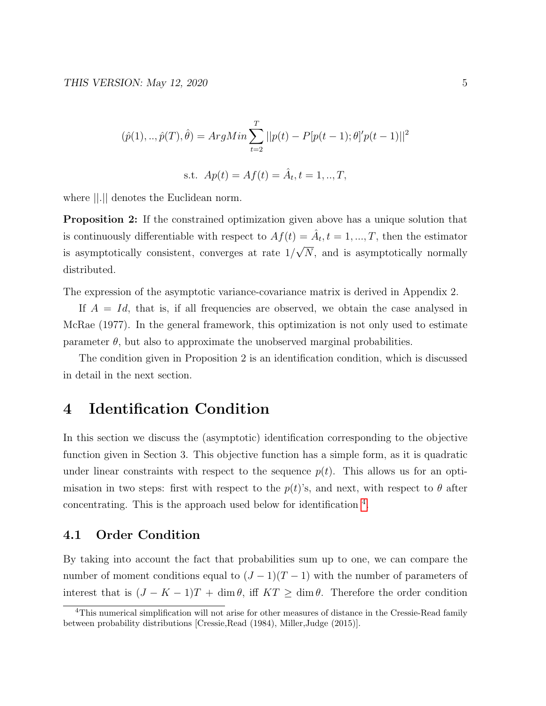$$
(\hat{p}(1),..,\hat{p}(T),\hat{\theta}) = ArgMin \sum_{t=2}^{T} ||p(t) - P[p(t-1); \theta]'p(t-1)||^2
$$
  
s.t.  $Ap(t) = Af(t) = \hat{A}_t, t = 1,..,T,$ 

where ||.|| denotes the Euclidean norm.

Proposition 2: If the constrained optimization given above has a unique solution that is continuously differentiable with respect to  $Af(t) = \hat{A}_t, t = 1, ..., T$ , then the estimator is asymptotically consistent, converges at rate 1/ √ N, and is asymptotically normally distributed.

The expression of the asymptotic variance-covariance matrix is derived in Appendix 2.

If  $A = Id$ , that is, if all frequencies are observed, we obtain the case analysed in McRae (1977). In the general framework, this optimization is not only used to estimate parameter  $\theta$ , but also to approximate the unobserved marginal probabilities.

The condition given in Proposition 2 is an identification condition, which is discussed in detail in the next section.

# 4 Identification Condition

In this section we discuss the (asymptotic) identification corresponding to the objective function given in Section 3. This objective function has a simple form, as it is quadratic under linear constraints with respect to the sequence  $p(t)$ . This allows us for an optimisation in two steps: first with respect to the  $p(t)$ 's, and next, with respect to  $\theta$  after concentrating. This is the approach used below for identification [4](#page-5-0) .

#### 4.1 Order Condition

By taking into account the fact that probabilities sum up to one, we can compare the number of moment conditions equal to  $(J-1)(T-1)$  with the number of parameters of interest that is  $(J - K - 1)T + \dim \theta$ , iff  $KT \geq \dim \theta$ . Therefore the order condition

<span id="page-5-0"></span><sup>&</sup>lt;sup>4</sup>This numerical simplification will not arise for other measures of distance in the Cressie-Read family between probability distributions [Cressie,Read (1984), Miller,Judge (2015)].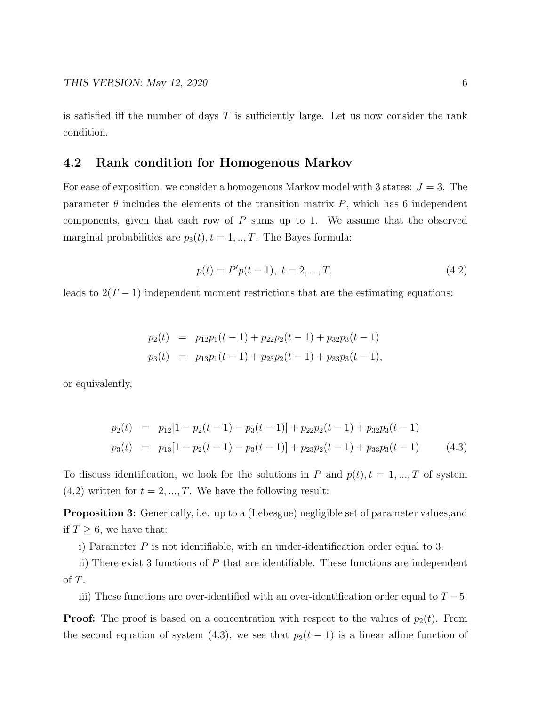is satisfied iff the number of days  $T$  is sufficiently large. Let us now consider the rank condition.

#### 4.2 Rank condition for Homogenous Markov

For ease of exposition, we consider a homogenous Markov model with 3 states:  $J = 3$ . The parameter  $\theta$  includes the elements of the transition matrix P, which has 6 independent components, given that each row of  $P$  sums up to 1. We assume that the observed marginal probabilities are  $p_3(t)$ ,  $t = 1, ..., T$ . The Bayes formula:

$$
p(t) = P'p(t-1), \ t = 2, ..., T,
$$
\n(4.2)

leads to  $2(T-1)$  independent moment restrictions that are the estimating equations:

$$
p_2(t) = p_{12}p_1(t-1) + p_{22}p_2(t-1) + p_{32}p_3(t-1)
$$
  
\n
$$
p_3(t) = p_{13}p_1(t-1) + p_{23}p_2(t-1) + p_{33}p_3(t-1),
$$

or equivalently,

$$
p_2(t) = p_{12}[1 - p_2(t-1) - p_3(t-1)] + p_{22}p_2(t-1) + p_{32}p_3(t-1)
$$
  
\n
$$
p_3(t) = p_{13}[1 - p_2(t-1) - p_3(t-1)] + p_{23}p_2(t-1) + p_{33}p_3(t-1)
$$
\n(4.3)

To discuss identification, we look for the solutions in P and  $p(t)$ ,  $t = 1, ..., T$  of system  $(4.2)$  written for  $t = 2, ..., T$ . We have the following result:

Proposition 3: Generically, i.e. up to a (Lebesgue) negligible set of parameter values,and if  $T \geq 6$ , we have that:

i) Parameter  $P$  is not identifiable, with an under-identification order equal to 3.

ii) There exist 3 functions of P that are identifiable. These functions are independent of T.

iii) These functions are over-identified with an over-identification order equal to  $T-5$ .

**Proof:** The proof is based on a concentration with respect to the values of  $p_2(t)$ . From the second equation of system (4.3), we see that  $p_2(t-1)$  is a linear affine function of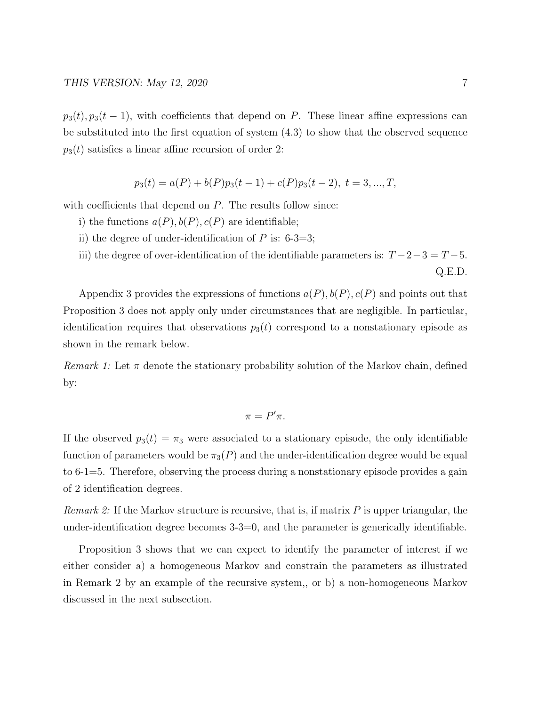$p_3(t), p_3(t-1)$ , with coefficients that depend on P. These linear affine expressions can be substituted into the first equation of system (4.3) to show that the observed sequence  $p_3(t)$  satisfies a linear affine recursion of order 2:

$$
p_3(t) = a(P) + b(P)p_3(t-1) + c(P)p_3(t-2), t = 3, ..., T,
$$

with coefficients that depend on  $P$ . The results follow since:

- i) the functions  $a(P), b(P), c(P)$  are identifiable;
- ii) the degree of under-identification of  $P$  is: 6-3=3;
- iii) the degree of over-identification of the identifiable parameters is:  $T-2-3=T-5$ . Q.E.D.

Appendix 3 provides the expressions of functions  $a(P), b(P), c(P)$  and points out that Proposition 3 does not apply only under circumstances that are negligible. In particular, identification requires that observations  $p_3(t)$  correspond to a nonstationary episode as shown in the remark below.

Remark 1: Let  $\pi$  denote the stationary probability solution of the Markov chain, defined by:

$$
\pi = P'\pi.
$$

If the observed  $p_3(t) = \pi_3$  were associated to a stationary episode, the only identifiable function of parameters would be  $\pi_3(P)$  and the under-identification degree would be equal to 6-1=5. Therefore, observing the process during a nonstationary episode provides a gain of 2 identification degrees.

*Remark 2:* If the Markov structure is recursive, that is, if matrix  $P$  is upper triangular, the under-identification degree becomes 3-3=0, and the parameter is generically identifiable.

Proposition 3 shows that we can expect to identify the parameter of interest if we either consider a) a homogeneous Markov and constrain the parameters as illustrated in Remark 2 by an example of the recursive system,, or b) a non-homogeneous Markov discussed in the next subsection.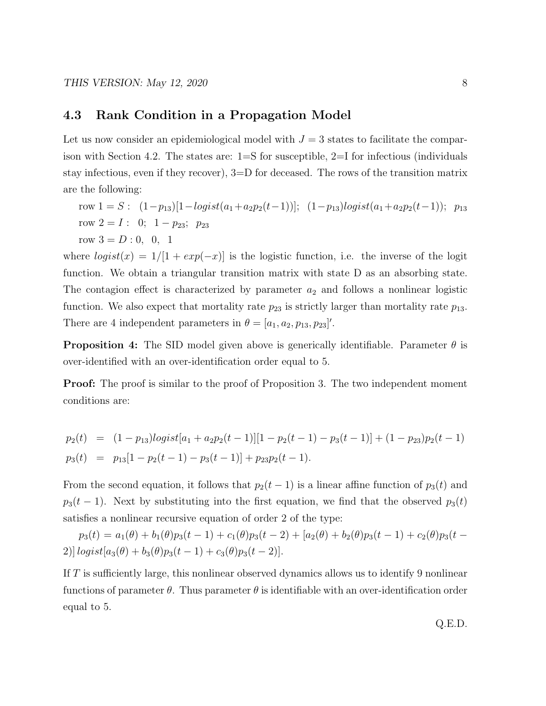#### 4.3 Rank Condition in a Propagation Model

Let us now consider an epidemiological model with  $J = 3$  states to facilitate the comparison with Section 4.2. The states are: 1=S for susceptible, 2=I for infectious (individuals stay infectious, even if they recover), 3=D for deceased. The rows of the transition matrix are the following:

row  $1 = S$ :  $(1-p_{13})[1-logist(a_1+a_2p_2(t-1))]$ ;  $(1-p_{13})logist(a_1+a_2p_2(t-1))$ ;  $p_{13}$ row  $2 = I: 0; 1 - p_{23}; p_{23}$ row  $3 = D : 0, 0, 1$ 

where  $logist(x) = 1/[1 + exp(-x)]$  is the logistic function, i.e. the inverse of the logit function. We obtain a triangular transition matrix with state D as an absorbing state. The contagion effect is characterized by parameter  $a_2$  and follows a nonlinear logistic function. We also expect that mortality rate  $p_{23}$  is strictly larger than mortality rate  $p_{13}$ . There are 4 independent parameters in  $\theta = [a_1, a_2, p_{13}, p_{23}]'.$ 

**Proposition 4:** The SID model given above is generically identifiable. Parameter  $\theta$  is over-identified with an over-identification order equal to 5.

**Proof:** The proof is similar to the proof of Proposition 3. The two independent moment conditions are:

$$
p_2(t) = (1 - p_{13})logist[a_1 + a_2p_2(t-1)][1 - p_2(t-1) - p_3(t-1)] + (1 - p_{23})p_2(t-1)
$$
  
\n
$$
p_3(t) = p_{13}[1 - p_2(t-1) - p_3(t-1)] + p_{23}p_2(t-1).
$$

From the second equation, it follows that  $p_2(t-1)$  is a linear affine function of  $p_3(t)$  and  $p_3(t-1)$ . Next by substituting into the first equation, we find that the observed  $p_3(t)$ satisfies a nonlinear recursive equation of order 2 of the type:

 $p_3(t) = a_1(\theta) + b_1(\theta)p_3(t-1) + c_1(\theta)p_3(t-2) + [a_2(\theta) + b_2(\theta)p_3(t-1) + c_2(\theta)p_3(t-1)]$ 2)]  $logist[a_3(\theta) + b_3(\theta)p_3(t-1) + c_3(\theta)p_3(t-2)].$ 

If T is sufficiently large, this nonlinear observed dynamics allows us to identify 9 nonlinear functions of parameter  $\theta$ . Thus parameter  $\theta$  is identifiable with an over-identification order equal to 5.

Q.E.D.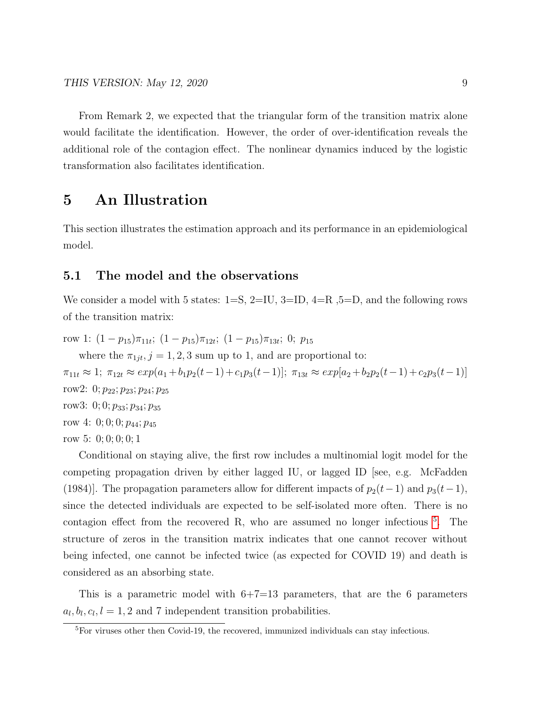From Remark 2, we expected that the triangular form of the transition matrix alone would facilitate the identification. However, the order of over-identification reveals the additional role of the contagion effect. The nonlinear dynamics induced by the logistic transformation also facilitates identification.

### 5 An Illustration

This section illustrates the estimation approach and its performance in an epidemiological model.

#### 5.1 The model and the observations

We consider a model with 5 states:  $1=S$ ,  $2=IU$ ,  $3=ID$ ,  $4=R$ ,  $5=D$ , and the following rows of the transition matrix:

row 1:  $(1-p_{15})\pi_{11t}$ ;  $(1-p_{15})\pi_{12t}$ ;  $(1-p_{15})\pi_{13t}$ ; 0;  $p_{15}$ 

where the  $\pi_{1jt}$ ,  $j = 1, 2, 3$  sum up to 1, and are proportional to:

 $\pi_{11t} \approx 1; \ \pi_{12t} \approx exp(a_1+b_1p_2(t-1)+c_1p_3(t-1)); \ \pi_{13t} \approx exp[a_2+b_2p_2(t-1)+c_2p_3(t-1)]$ row2: 0;  $p_{22}$ ;  $p_{23}$ ;  $p_{24}$ ;  $p_{25}$ row3: 0; 0;  $p_{33}$ ;  $p_{34}$ ;  $p_{35}$ row 4: 0; 0; 0;  $p_{44}$ ;  $p_{45}$ 

row 5: 0; 0; 0; 0; 1

Conditional on staying alive, the first row includes a multinomial logit model for the competing propagation driven by either lagged IU, or lagged ID [see, e.g. McFadden (1984)]. The propagation parameters allow for different impacts of  $p_2(t-1)$  and  $p_3(t-1)$ , since the detected individuals are expected to be self-isolated more often. There is no contagion effect from the recovered R, who are assumed no longer infectious <sup>[5](#page-9-0)</sup>. The structure of zeros in the transition matrix indicates that one cannot recover without being infected, one cannot be infected twice (as expected for COVID 19) and death is considered as an absorbing state.

This is a parametric model with  $6+7=13$  parameters, that are the 6 parameters  $a_l, b_l, c_l, l = 1, 2$  and 7 independent transition probabilities.

<span id="page-9-0"></span><sup>5</sup>For viruses other then Covid-19, the recovered, immunized individuals can stay infectious.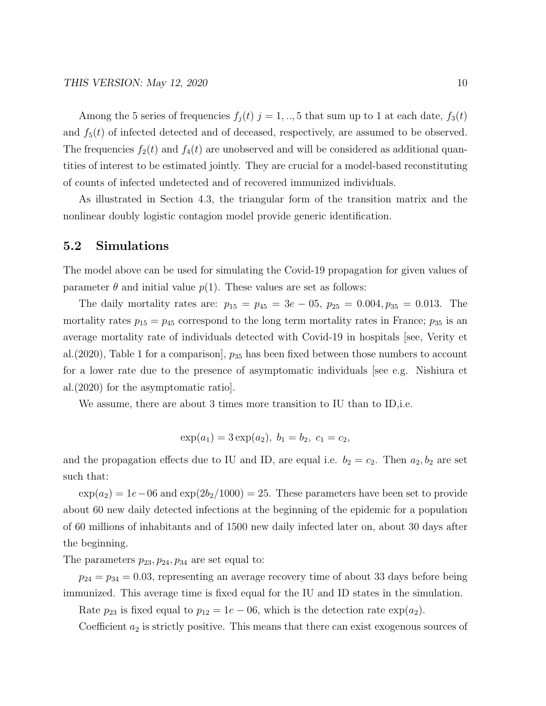Among the 5 series of frequencies  $f_j(t)$   $j = 1, ..., 5$  that sum up to 1 at each date,  $f_3(t)$ and  $f_5(t)$  of infected detected and of deceased, respectively, are assumed to be observed. The frequencies  $f_2(t)$  and  $f_4(t)$  are unobserved and will be considered as additional quantities of interest to be estimated jointly. They are crucial for a model-based reconstituting of counts of infected undetected and of recovered immunized individuals.

As illustrated in Section 4.3, the triangular form of the transition matrix and the nonlinear doubly logistic contagion model provide generic identification.

#### 5.2 Simulations

The model above can be used for simulating the Covid-19 propagation for given values of parameter  $\theta$  and initial value  $p(1)$ . These values are set as follows:

The daily mortality rates are:  $p_{15} = p_{45} = 3e - 05$ ,  $p_{25} = 0.004$ ,  $p_{35} = 0.013$ . The mortality rates  $p_{15} = p_{45}$  correspond to the long term mortality rates in France;  $p_{35}$  is an average mortality rate of individuals detected with Covid-19 in hospitals [see, Verity et al.  $(2020)$ , Table 1 for a comparison,  $p_{35}$  has been fixed between those numbers to account for a lower rate due to the presence of asymptomatic individuals [see e.g. Nishiura et al.(2020) for the asymptomatic ratio].

We assume, there are about 3 times more transition to IU than to ID,i.e.

$$
\exp(a_1) = 3 \exp(a_2), b_1 = b_2, c_1 = c_2,
$$

and the propagation effects due to IU and ID, are equal i.e.  $b_2 = c_2$ . Then  $a_2, b_2$  are set such that:

 $\exp(a_2) = 1e-06$  and  $\exp(2b_2/1000) = 25$ . These parameters have been set to provide about 60 new daily detected infections at the beginning of the epidemic for a population of 60 millions of inhabitants and of 1500 new daily infected later on, about 30 days after the beginning.

The parameters  $p_{23}, p_{24}, p_{34}$  are set equal to:

 $p_{24} = p_{34} = 0.03$ , representing an average recovery time of about 33 days before being immunized. This average time is fixed equal for the IU and ID states in the simulation.

Rate  $p_{23}$  is fixed equal to  $p_{12} = 1e - 06$ , which is the detection rate  $\exp(a_2)$ .

Coefficient  $a_2$  is strictly positive. This means that there can exist exogenous sources of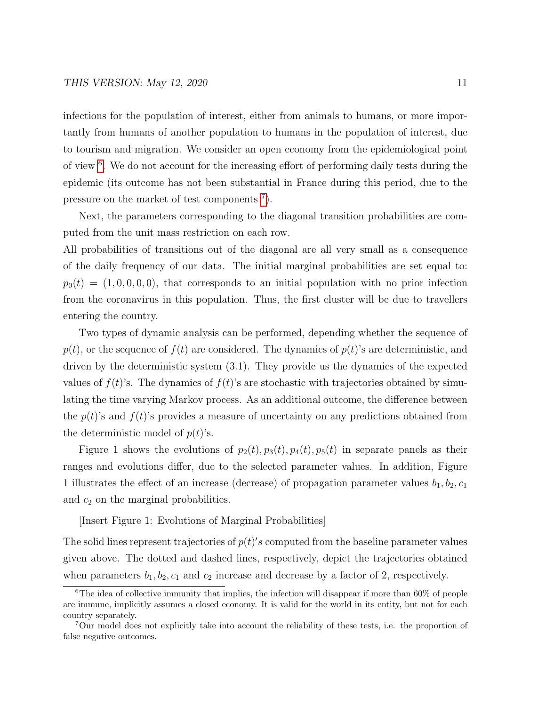infections for the population of interest, either from animals to humans, or more importantly from humans of another population to humans in the population of interest, due to tourism and migration. We consider an open economy from the epidemiological point of view <sup>[6](#page-11-0)</sup>. We do not account for the increasing effort of performing daily tests during the epidemic (its outcome has not been substantial in France during this period, due to the pressure on the market of test components  $\bar{a}$ .

Next, the parameters corresponding to the diagonal transition probabilities are computed from the unit mass restriction on each row.

All probabilities of transitions out of the diagonal are all very small as a consequence of the daily frequency of our data. The initial marginal probabilities are set equal to:  $p_0(t) = (1, 0, 0, 0, 0)$ , that corresponds to an initial population with no prior infection from the coronavirus in this population. Thus, the first cluster will be due to travellers entering the country.

Two types of dynamic analysis can be performed, depending whether the sequence of  $p(t)$ , or the sequence of  $f(t)$  are considered. The dynamics of  $p(t)$ 's are deterministic, and driven by the deterministic system (3.1). They provide us the dynamics of the expected values of  $f(t)$ 's. The dynamics of  $f(t)$ 's are stochastic with trajectories obtained by simulating the time varying Markov process. As an additional outcome, the difference between the  $p(t)$ 's and  $f(t)$ 's provides a measure of uncertainty on any predictions obtained from the deterministic model of  $p(t)$ 's.

Figure 1 shows the evolutions of  $p_2(t)$ ,  $p_3(t)$ ,  $p_4(t)$ ,  $p_5(t)$  in separate panels as their ranges and evolutions differ, due to the selected parameter values. In addition, Figure 1 illustrates the effect of an increase (decrease) of propagation parameter values  $b_1, b_2, c_1$ and  $c_2$  on the marginal probabilities.

[Insert Figure 1: Evolutions of Marginal Probabilities]

The solid lines represent trajectories of  $p(t)'s$  computed from the baseline parameter values given above. The dotted and dashed lines, respectively, depict the trajectories obtained when parameters  $b_1, b_2, c_1$  and  $c_2$  increase and decrease by a factor of 2, respectively.

<span id="page-11-0"></span> $6$ The idea of collective immunity that implies, the infection will disappear if more than 60% of people are immune, implicitly assumes a closed economy. It is valid for the world in its entity, but not for each country separately.

<span id="page-11-1"></span><sup>7</sup>Our model does not explicitly take into account the reliability of these tests, i.e. the proportion of false negative outcomes.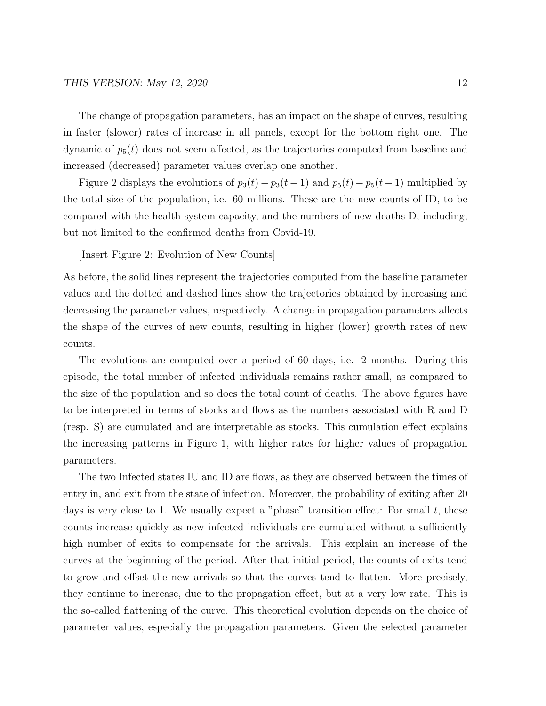The change of propagation parameters, has an impact on the shape of curves, resulting in faster (slower) rates of increase in all panels, except for the bottom right one. The dynamic of  $p_5(t)$  does not seem affected, as the trajectories computed from baseline and increased (decreased) parameter values overlap one another.

Figure 2 displays the evolutions of  $p_3(t) - p_3(t-1)$  and  $p_5(t) - p_5(t-1)$  multiplied by the total size of the population, i.e. 60 millions. These are the new counts of ID, to be compared with the health system capacity, and the numbers of new deaths D, including, but not limited to the confirmed deaths from Covid-19.

[Insert Figure 2: Evolution of New Counts]

As before, the solid lines represent the trajectories computed from the baseline parameter values and the dotted and dashed lines show the trajectories obtained by increasing and decreasing the parameter values, respectively. A change in propagation parameters affects the shape of the curves of new counts, resulting in higher (lower) growth rates of new counts.

The evolutions are computed over a period of 60 days, i.e. 2 months. During this episode, the total number of infected individuals remains rather small, as compared to the size of the population and so does the total count of deaths. The above figures have to be interpreted in terms of stocks and flows as the numbers associated with R and D (resp. S) are cumulated and are interpretable as stocks. This cumulation effect explains the increasing patterns in Figure 1, with higher rates for higher values of propagation parameters.

The two Infected states IU and ID are flows, as they are observed between the times of entry in, and exit from the state of infection. Moreover, the probability of exiting after 20 days is very close to 1. We usually expect a "phase" transition effect: For small  $t$ , these counts increase quickly as new infected individuals are cumulated without a sufficiently high number of exits to compensate for the arrivals. This explain an increase of the curves at the beginning of the period. After that initial period, the counts of exits tend to grow and offset the new arrivals so that the curves tend to flatten. More precisely, they continue to increase, due to the propagation effect, but at a very low rate. This is the so-called flattening of the curve. This theoretical evolution depends on the choice of parameter values, especially the propagation parameters. Given the selected parameter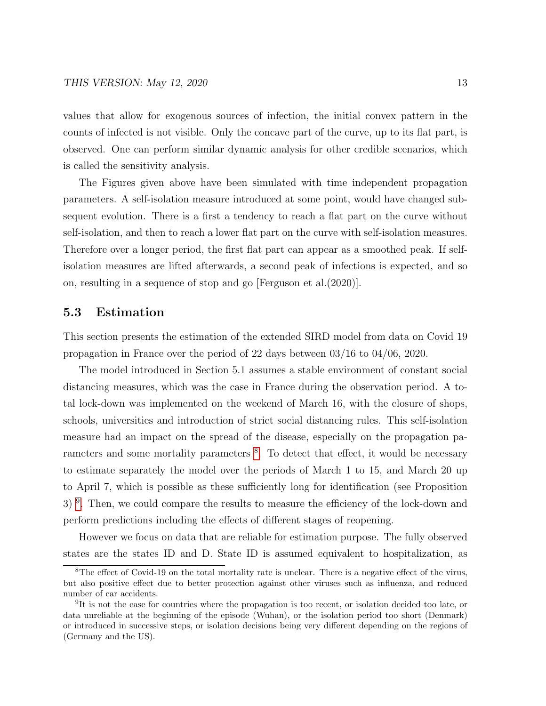values that allow for exogenous sources of infection, the initial convex pattern in the counts of infected is not visible. Only the concave part of the curve, up to its flat part, is observed. One can perform similar dynamic analysis for other credible scenarios, which is called the sensitivity analysis.

The Figures given above have been simulated with time independent propagation parameters. A self-isolation measure introduced at some point, would have changed subsequent evolution. There is a first a tendency to reach a flat part on the curve without self-isolation, and then to reach a lower flat part on the curve with self-isolation measures. Therefore over a longer period, the first flat part can appear as a smoothed peak. If selfisolation measures are lifted afterwards, a second peak of infections is expected, and so on, resulting in a sequence of stop and go [Ferguson et al.(2020)].

#### 5.3 Estimation

This section presents the estimation of the extended SIRD model from data on Covid 19 propagation in France over the period of 22 days between 03/16 to 04/06, 2020.

The model introduced in Section 5.1 assumes a stable environment of constant social distancing measures, which was the case in France during the observation period. A total lock-down was implemented on the weekend of March 16, with the closure of shops, schools, universities and introduction of strict social distancing rules. This self-isolation measure had an impact on the spread of the disease, especially on the propagation pa-rameters and some mortality parameters <sup>[8](#page-13-0)</sup>. To detect that effect, it would be necessary to estimate separately the model over the periods of March 1 to 15, and March 20 up to April 7, which is possible as these sufficiently long for identification (see Proposition 3)<sup>[9](#page-13-1)</sup>. Then, we could compare the results to measure the efficiency of the lock-down and perform predictions including the effects of different stages of reopening.

However we focus on data that are reliable for estimation purpose. The fully observed states are the states ID and D. State ID is assumed equivalent to hospitalization, as

<span id="page-13-0"></span><sup>8</sup>The effect of Covid-19 on the total mortality rate is unclear. There is a negative effect of the virus, but also positive effect due to better protection against other viruses such as influenza, and reduced number of car accidents.

<span id="page-13-1"></span><sup>&</sup>lt;sup>9</sup>It is not the case for countries where the propagation is too recent, or isolation decided too late, or data unreliable at the beginning of the episode (Wuhan), or the isolation period too short (Denmark) or introduced in successive steps, or isolation decisions being very different depending on the regions of (Germany and the US).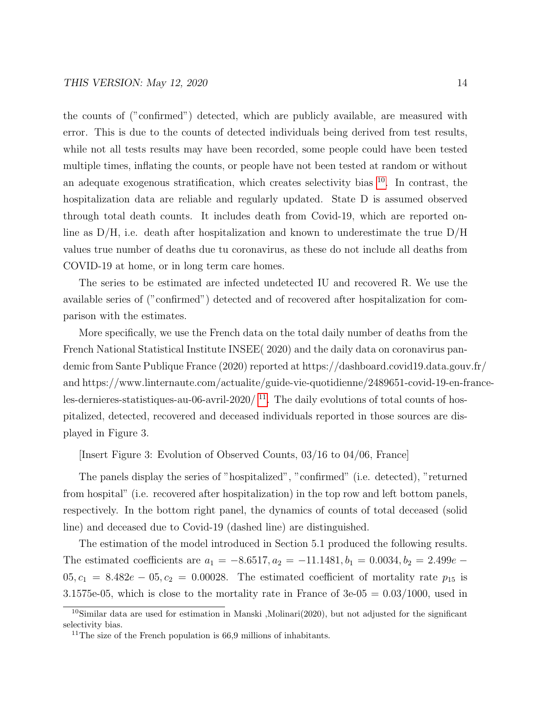the counts of ("confirmed") detected, which are publicly available, are measured with error. This is due to the counts of detected individuals being derived from test results, while not all tests results may have been recorded, some people could have been tested multiple times, inflating the counts, or people have not been tested at random or without an adequate exogenous stratification, which creates selectivity bias  $10$ . In contrast, the hospitalization data are reliable and regularly updated. State D is assumed observed through total death counts. It includes death from Covid-19, which are reported online as D/H, i.e. death after hospitalization and known to underestimate the true D/H values true number of deaths due tu coronavirus, as these do not include all deaths from COVID-19 at home, or in long term care homes.

The series to be estimated are infected undetected IU and recovered R. We use the available series of ("confirmed") detected and of recovered after hospitalization for comparison with the estimates.

More specifically, we use the French data on the total daily number of deaths from the French National Statistical Institute INSEE( 2020) and the daily data on coronavirus pandemic from Sante Publique France (2020) reported at https://dashboard.covid19.data.gouv.fr/ and https://www.linternaute.com/actualite/guide-vie-quotidienne/2489651-covid-19-en-franceles-dernieres-statistiques-au-06-avril-2020/ $^{11}$  $^{11}$  $^{11}$ . The daily evolutions of total counts of hospitalized, detected, recovered and deceased individuals reported in those sources are displayed in Figure 3.

[Insert Figure 3: Evolution of Observed Counts, 03/16 to 04/06, France]

The panels display the series of "hospitalized", "confirmed" (i.e. detected), "returned from hospital" (i.e. recovered after hospitalization) in the top row and left bottom panels, respectively. In the bottom right panel, the dynamics of counts of total deceased (solid line) and deceased due to Covid-19 (dashed line) are distinguished.

The estimation of the model introduced in Section 5.1 produced the following results. The estimated coefficients are  $a_1 = -8.6517, a_2 = -11.1481, b_1 = 0.0034, b_2 = 2.499e$  $05, c_1 = 8.482e - 05, c_2 = 0.00028$ . The estimated coefficient of mortality rate  $p_{15}$  is 3.1575e-05, which is close to the mortality rate in France of  $3e-05 = 0.03/1000$ , used in

<span id="page-14-0"></span><sup>10</sup>Similar data are used for estimation in Manski ,Molinari(2020), but not adjusted for the significant selectivity bias.

<span id="page-14-1"></span><sup>&</sup>lt;sup>11</sup>The size of the French population is  $66.9$  millions of inhabitants.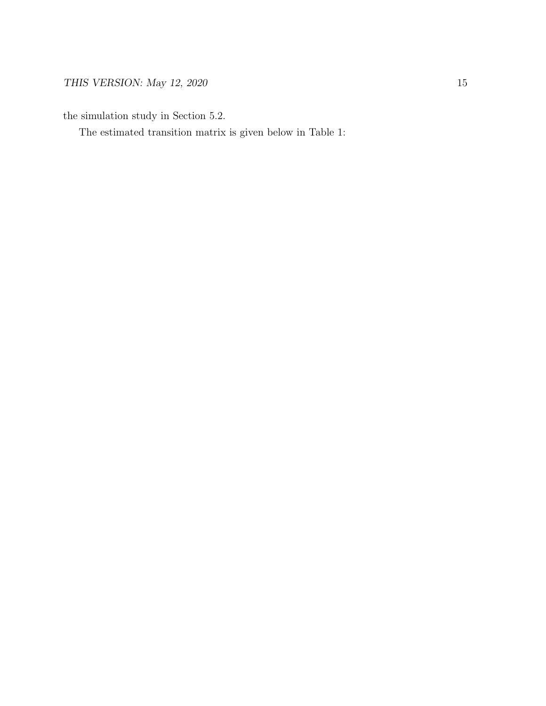the simulation study in Section 5.2.

The estimated transition matrix is given below in Table 1: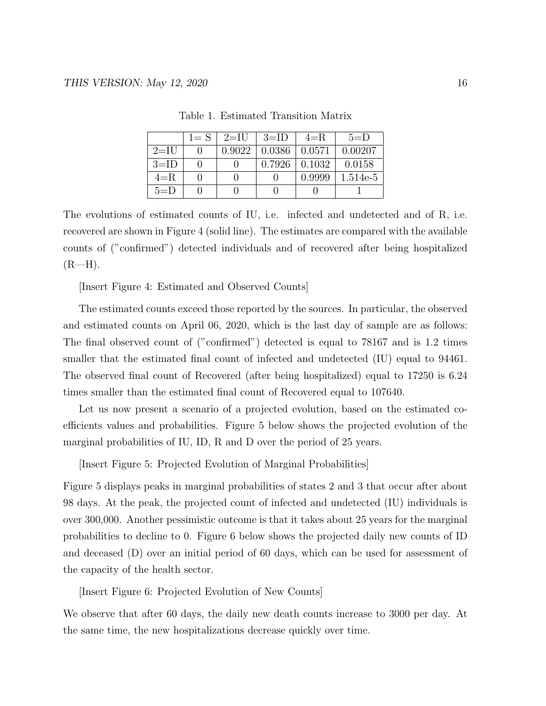|          | $1 = S \perp 2 = II$ | $3=ID$ | $4=R$  | $5=$ D   |
|----------|----------------------|--------|--------|----------|
| $2=$ IU  | 0.9022               | 0.0386 | 0.0571 | 0.00207  |
| $3 =$ ID |                      | 0.7926 | 0.1032 | 0.0158   |
| $4=R$    |                      |        | 0.9999 | 1.514e-5 |
| $5=$ D   |                      |        |        |          |

Table 1. Estimated Transition Matrix

The evolutions of estimated counts of IU, i.e. infected and undetected and of R, i.e. recovered are shown in Figure 4 (solid line). The estimates are compared with the available counts of ("confirmed") detected individuals and of recovered after being hospitalized  $(R-H)$ .

[Insert Figure 4: Estimated and Observed Counts]

The estimated counts exceed those reported by the sources. In particular, the observed and estimated counts on April 06, 2020, which is the last day of sample are as follows: The final observed count of ("confirmed") detected is equal to 78167 and is 1.2 times smaller that the estimated final count of infected and undetected (IU) equal to 94461. The observed final count of Recovered (after being hospitalized) equal to 17250 is 6.24 times smaller than the estimated final count of Recovered equal to 107640.

Let us now present a scenario of a projected evolution, based on the estimated coefficients values and probabilities. Figure 5 below shows the projected evolution of the marginal probabilities of IU, ID, R and D over the period of 25 years.

[Insert Figure 5: Projected Evolution of Marginal Probabilities]

Figure 5 displays peaks in marginal probabilities of states 2 and 3 that occur after about 98 days. At the peak, the projected count of infected and undetected (IU) individuals is over 300,000. Another pessimistic outcome is that it takes about 25 years for the marginal probabilities to decline to 0. Figure 6 below shows the projected daily new counts of ID and deceased (D) over an initial period of 60 days, which can be used for assessment of the capacity of the health sector.

[Insert Figure 6: Projected Evolution of New Counts]

We observe that after 60 days, the daily new death counts increase to 3000 per day. At the same time, the new hospitalizations decrease quickly over time.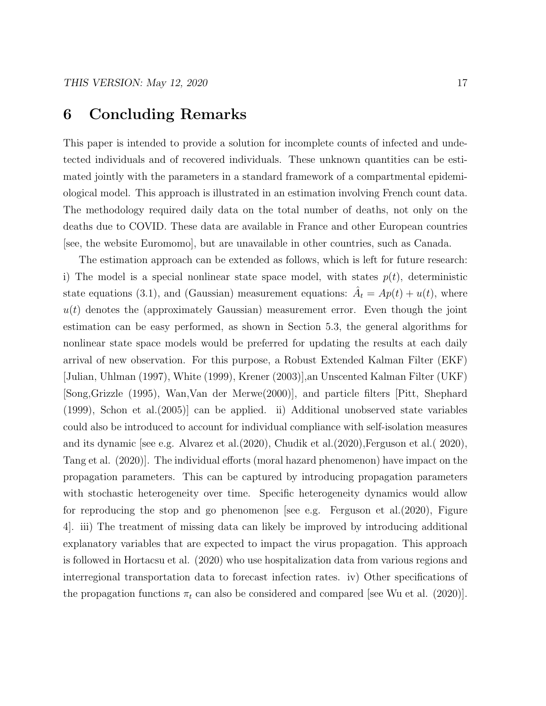### 6 Concluding Remarks

This paper is intended to provide a solution for incomplete counts of infected and undetected individuals and of recovered individuals. These unknown quantities can be estimated jointly with the parameters in a standard framework of a compartmental epidemiological model. This approach is illustrated in an estimation involving French count data. The methodology required daily data on the total number of deaths, not only on the deaths due to COVID. These data are available in France and other European countries [see, the website Euromomo], but are unavailable in other countries, such as Canada.

The estimation approach can be extended as follows, which is left for future research: i) The model is a special nonlinear state space model, with states  $p(t)$ , deterministic state equations (3.1), and (Gaussian) measurement equations:  $\hat{A}_t = Ap(t) + u(t)$ , where  $u(t)$  denotes the (approximately Gaussian) measurement error. Even though the joint estimation can be easy performed, as shown in Section 5.3, the general algorithms for nonlinear state space models would be preferred for updating the results at each daily arrival of new observation. For this purpose, a Robust Extended Kalman Filter (EKF) [Julian, Uhlman (1997), White (1999), Krener (2003)],an Unscented Kalman Filter (UKF) [Song,Grizzle (1995), Wan,Van der Merwe(2000)], and particle filters [Pitt, Shephard (1999), Schon et al.(2005)] can be applied. ii) Additional unobserved state variables could also be introduced to account for individual compliance with self-isolation measures and its dynamic [see e.g. Alvarez et al.(2020), Chudik et al.(2020),Ferguson et al.( 2020), Tang et al. (2020)]. The individual efforts (moral hazard phenomenon) have impact on the propagation parameters. This can be captured by introducing propagation parameters with stochastic heterogeneity over time. Specific heterogeneity dynamics would allow for reproducing the stop and go phenomenon [see e.g. Ferguson et al.(2020), Figure 4]. iii) The treatment of missing data can likely be improved by introducing additional explanatory variables that are expected to impact the virus propagation. This approach is followed in Hortacsu et al. (2020) who use hospitalization data from various regions and interregional transportation data to forecast infection rates. iv) Other specifications of the propagation functions  $\pi_t$  can also be considered and compared [see Wu et al. (2020)].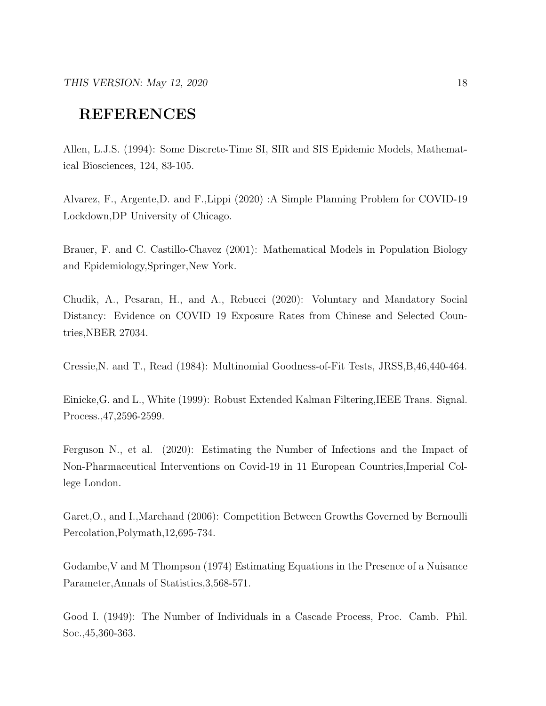# REFERENCES

Allen, L.J.S. (1994): Some Discrete-Time SI, SIR and SIS Epidemic Models, Mathematical Biosciences, 124, 83-105.

Alvarez, F., Argente,D. and F.,Lippi (2020) :A Simple Planning Problem for COVID-19 Lockdown,DP University of Chicago.

Brauer, F. and C. Castillo-Chavez (2001): Mathematical Models in Population Biology and Epidemiology,Springer,New York.

Chudik, A., Pesaran, H., and A., Rebucci (2020): Voluntary and Mandatory Social Distancy: Evidence on COVID 19 Exposure Rates from Chinese and Selected Countries,NBER 27034.

Cressie,N. and T., Read (1984): Multinomial Goodness-of-Fit Tests, JRSS,B,46,440-464.

Einicke,G. and L., White (1999): Robust Extended Kalman Filtering,IEEE Trans. Signal. Process.,47,2596-2599.

Ferguson N., et al. (2020): Estimating the Number of Infections and the Impact of Non-Pharmaceutical Interventions on Covid-19 in 11 European Countries,Imperial College London.

Garet,O., and I.,Marchand (2006): Competition Between Growths Governed by Bernoulli Percolation,Polymath,12,695-734.

Godambe,V and M Thompson (1974) Estimating Equations in the Presence of a Nuisance Parameter,Annals of Statistics,3,568-571.

Good I. (1949): The Number of Individuals in a Cascade Process, Proc. Camb. Phil. Soc.,45,360-363.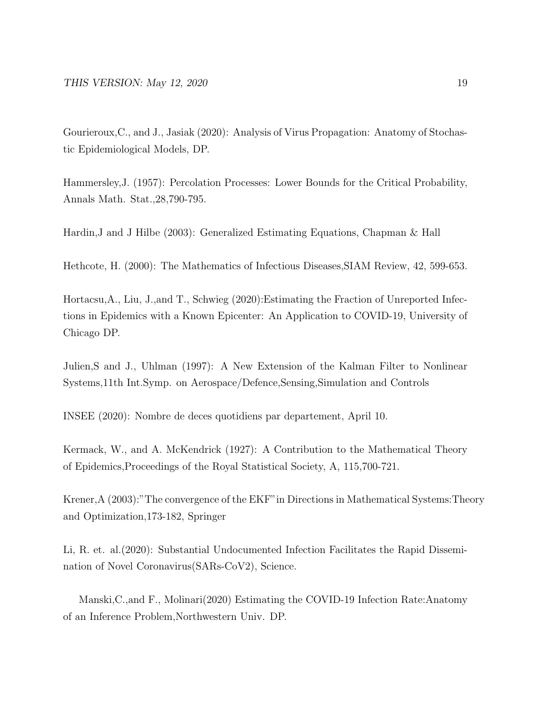Gourieroux,C., and J., Jasiak (2020): Analysis of Virus Propagation: Anatomy of Stochastic Epidemiological Models, DP.

Hammersley,J. (1957): Percolation Processes: Lower Bounds for the Critical Probability, Annals Math. Stat.,28,790-795.

Hardin,J and J Hilbe (2003): Generalized Estimating Equations, Chapman & Hall

Hethcote, H. (2000): The Mathematics of Infectious Diseases,SIAM Review, 42, 599-653.

Hortacsu,A., Liu, J.,and T., Schwieg (2020):Estimating the Fraction of Unreported Infections in Epidemics with a Known Epicenter: An Application to COVID-19, University of Chicago DP.

Julien,S and J., Uhlman (1997): A New Extension of the Kalman Filter to Nonlinear Systems,11th Int.Symp. on Aerospace/Defence,Sensing,Simulation and Controls

INSEE (2020): Nombre de deces quotidiens par departement, April 10.

Kermack, W., and A. McKendrick (1927): A Contribution to the Mathematical Theory of Epidemics,Proceedings of the Royal Statistical Society, A, 115,700-721.

Krener,A (2003):"The convergence of the EKF"in Directions in Mathematical Systems:Theory and Optimization,173-182, Springer

Li, R. et. al.(2020): Substantial Undocumented Infection Facilitates the Rapid Dissemination of Novel Coronavirus(SARs-CoV2), Science.

Manski,C.,and F., Molinari(2020) Estimating the COVID-19 Infection Rate:Anatomy of an Inference Problem,Northwestern Univ. DP.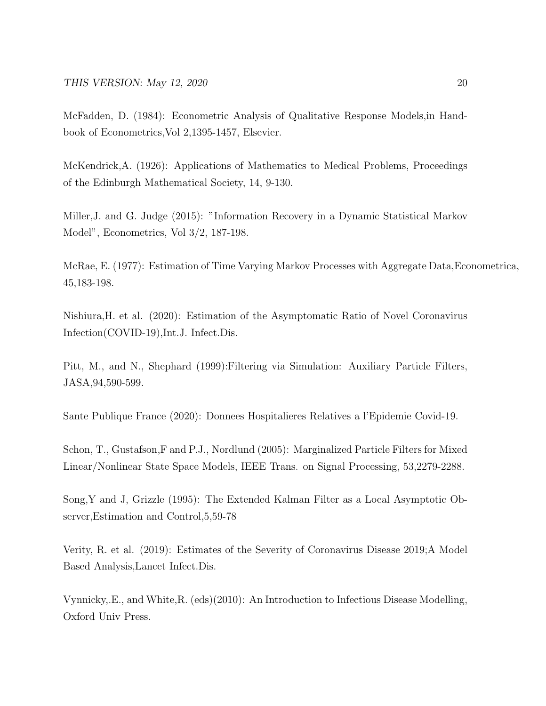McFadden, D. (1984): Econometric Analysis of Qualitative Response Models,in Handbook of Econometrics,Vol 2,1395-1457, Elsevier.

McKendrick,A. (1926): Applications of Mathematics to Medical Problems, Proceedings of the Edinburgh Mathematical Society, 14, 9-130.

Miller,J. and G. Judge (2015): "Information Recovery in a Dynamic Statistical Markov Model", Econometrics, Vol 3/2, 187-198.

McRae, E. (1977): Estimation of Time Varying Markov Processes with Aggregate Data,Econometrica, 45,183-198.

Nishiura,H. et al. (2020): Estimation of the Asymptomatic Ratio of Novel Coronavirus Infection(COVID-19),Int.J. Infect.Dis.

Pitt, M., and N., Shephard (1999):Filtering via Simulation: Auxiliary Particle Filters, JASA,94,590-599.

Sante Publique France (2020): Donnees Hospitalieres Relatives a l'Epidemie Covid-19.

Schon, T., Gustafson,F and P.J., Nordlund (2005): Marginalized Particle Filters for Mixed Linear/Nonlinear State Space Models, IEEE Trans. on Signal Processing, 53,2279-2288.

Song,Y and J, Grizzle (1995): The Extended Kalman Filter as a Local Asymptotic Observer,Estimation and Control,5,59-78

Verity, R. et al. (2019): Estimates of the Severity of Coronavirus Disease 2019;A Model Based Analysis,Lancet Infect.Dis.

Vynnicky,.E., and White,R. (eds)(2010): An Introduction to Infectious Disease Modelling, Oxford Univ Press.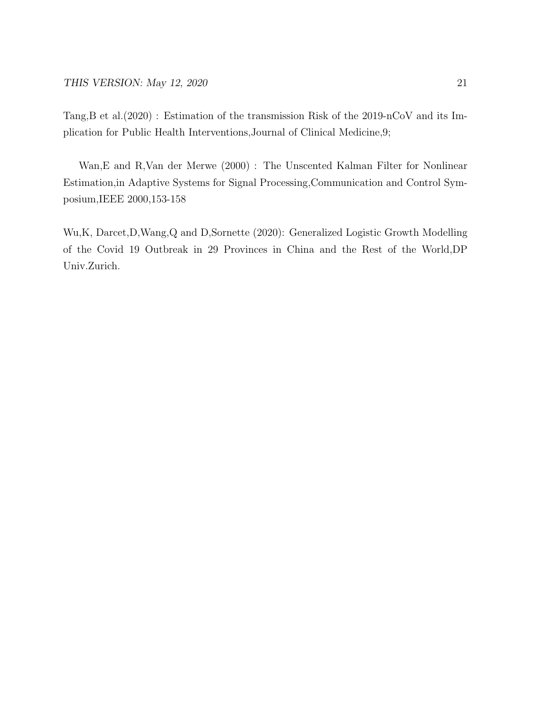Tang,B et al.(2020) : Estimation of the transmission Risk of the 2019-nCoV and its Implication for Public Health Interventions,Journal of Clinical Medicine,9;

Wan,E and R,Van der Merwe (2000) : The Unscented Kalman Filter for Nonlinear Estimation,in Adaptive Systems for Signal Processing,Communication and Control Symposium,IEEE 2000,153-158

Wu,K, Darcet,D,Wang,Q and D,Sornette (2020): Generalized Logistic Growth Modelling of the Covid 19 Outbreak in 29 Provinces in China and the Rest of the World,DP Univ.Zurich.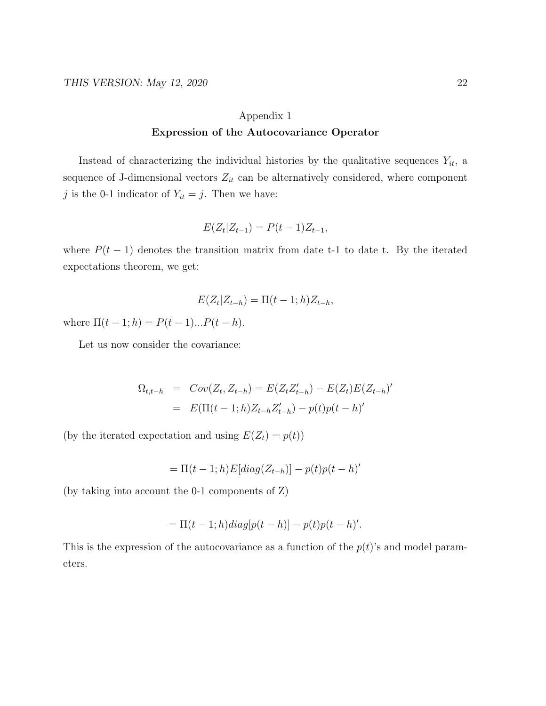### Appendix 1 Expression of the Autocovariance Operator

Instead of characterizing the individual histories by the qualitative sequences  $Y_{it}$ , a sequence of J-dimensional vectors  $Z_{it}$  can be alternatively considered, where component j is the 0-1 indicator of  $Y_{it} = j$ . Then we have:

$$
E(Z_t|Z_{t-1}) = P(t-1)Z_{t-1},
$$

where  $P(t-1)$  denotes the transition matrix from date t-1 to date t. By the iterated expectations theorem, we get:

$$
E(Z_t|Z_{t-h}) = \Pi(t-1;h)Z_{t-h},
$$

where  $\Pi(t-1;h) = P(t-1)...P(t-h)$ .

Let us now consider the covariance:

$$
\Omega_{t,t-h} = Cov(Z_t, Z_{t-h}) = E(Z_t Z'_{t-h}) - E(Z_t) E(Z_{t-h})'
$$
  
= 
$$
E(\Pi(t-1; h) Z_{t-h} Z'_{t-h}) - p(t) p(t-h)'
$$

(by the iterated expectation and using  $E(Z_t) = p(t)$ )

$$
= \Pi(t-1;h)E[diag(Z_{t-h})] - p(t)p(t-h)'
$$

(by taking into account the 0-1 components of Z)

$$
= \Pi(t-1;h)diag[p(t-h)] - p(t)p(t-h)'.
$$

This is the expression of the autocovariance as a function of the  $p(t)$ 's and model parameters.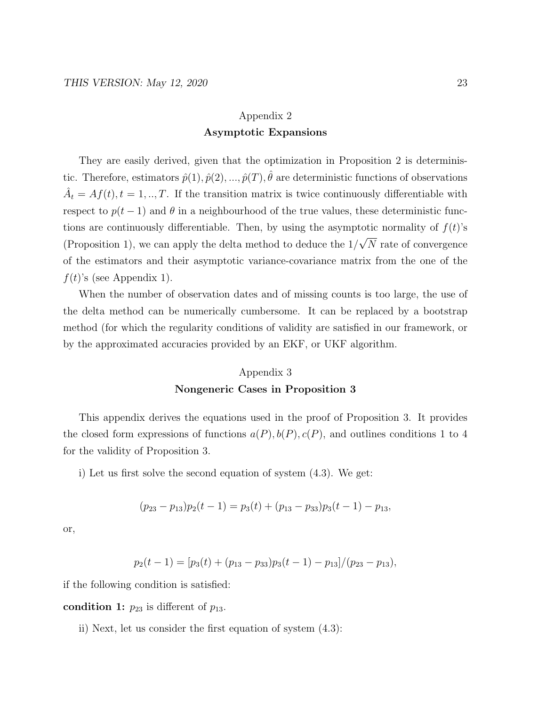### Appendix 2 Asymptotic Expansions

They are easily derived, given that the optimization in Proposition 2 is deterministic. Therefore, estimators  $\hat{p}(1), \hat{p}(2), ..., \hat{p}(T), \hat{\theta}$  are deterministic functions of observations  $\hat{A}_t = Af(t), t = 1, ..., T$ . If the transition matrix is twice continuously differentiable with respect to  $p(t-1)$  and  $\theta$  in a neighbourhood of the true values, these deterministic functions are continuously differentiable. Then, by using the asymptotic normality of  $f(t)$ 's (Proposition 1), we can apply the delta method to deduce the 1/ √ N rate of convergence of the estimators and their asymptotic variance-covariance matrix from the one of the  $f(t)$ 's (see Appendix 1).

When the number of observation dates and of missing counts is too large, the use of the delta method can be numerically cumbersome. It can be replaced by a bootstrap method (for which the regularity conditions of validity are satisfied in our framework, or by the approximated accuracies provided by an EKF, or UKF algorithm.

#### Appendix 3

#### Nongeneric Cases in Proposition 3

This appendix derives the equations used in the proof of Proposition 3. It provides the closed form expressions of functions  $a(P), b(P), c(P)$ , and outlines conditions 1 to 4 for the validity of Proposition 3.

i) Let us first solve the second equation of system (4.3). We get:

$$
(p_{23} - p_{13})p_2(t-1) = p_3(t) + (p_{13} - p_{33})p_3(t-1) - p_{13},
$$

or,

$$
p_2(t-1) = [p_3(t) + (p_{13} - p_{33})p_3(t-1) - p_{13}]/(p_{23} - p_{13}),
$$

if the following condition is satisfied:

condition 1:  $p_{23}$  is different of  $p_{13}$ .

ii) Next, let us consider the first equation of system (4.3):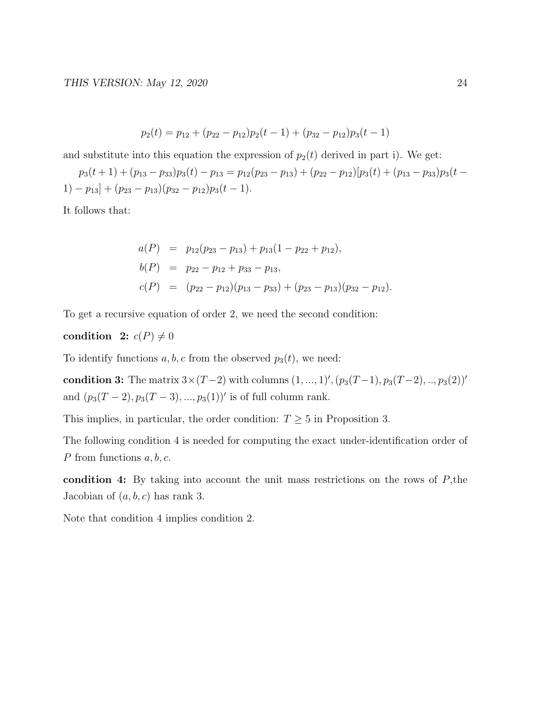$$
p_2(t) = p_{12} + (p_{22} - p_{12})p_2(t-1) + (p_{32} - p_{12})p_3(t-1)
$$

and substitute into this equation the expression of  $p_2(t)$  derived in part i). We get:

 $p_3(t + 1) + (p_{13} - p_{33})p_3(t) - p_{13} = p_{12}(p_{23} - p_{13}) + (p_{22} - p_{12})[p_3(t) + (p_{13} - p_{33})p_3(t -$ 1) –  $p_{13}$ ] +  $(p_{23} - p_{13})(p_{32} - p_{12})p_3(t - 1)$ .

It follows that:

$$
a(P) = p_{12}(p_{23} - p_{13}) + p_{13}(1 - p_{22} + p_{12}),
$$
  
\n
$$
b(P) = p_{22} - p_{12} + p_{33} - p_{13},
$$
  
\n
$$
c(P) = (p_{22} - p_{12})(p_{13} - p_{33}) + (p_{23} - p_{13})(p_{32} - p_{12}).
$$

To get a recursive equation of order 2, we need the second condition:

#### condition 2:  $c(P) \neq 0$

To identify functions a, b, c from the observed  $p_3(t)$ , we need:

condition 3: The matrix  $3 \times (T-2)$  with columns  $(1, ..., 1)$ ',  $(p_3(T-1), p_3(T-2), ..., p_3(2))$ ' and  $(p_3(T-2), p_3(T-3), ..., p_3(1))'$  is of full column rank.

This implies, in particular, the order condition:  $T \geq 5$  in Proposition 3.

The following condition 4 is needed for computing the exact under-identification order of P from functions  $a, b, c$ .

condition 4: By taking into account the unit mass restrictions on the rows of  $P$ , the Jacobian of  $(a, b, c)$  has rank 3.

Note that condition 4 implies condition 2.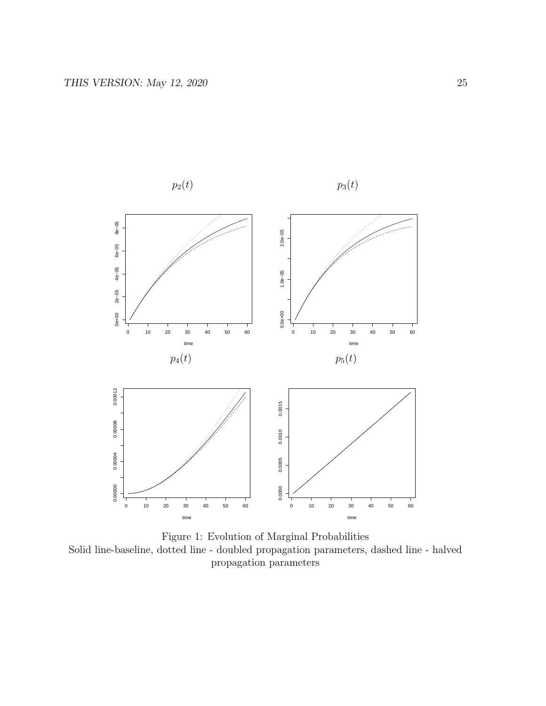

Figure 1: Evolution of Marginal Probabilities Solid line-baseline, dotted line - doubled propagation parameters, dashed line - halved propagation parameters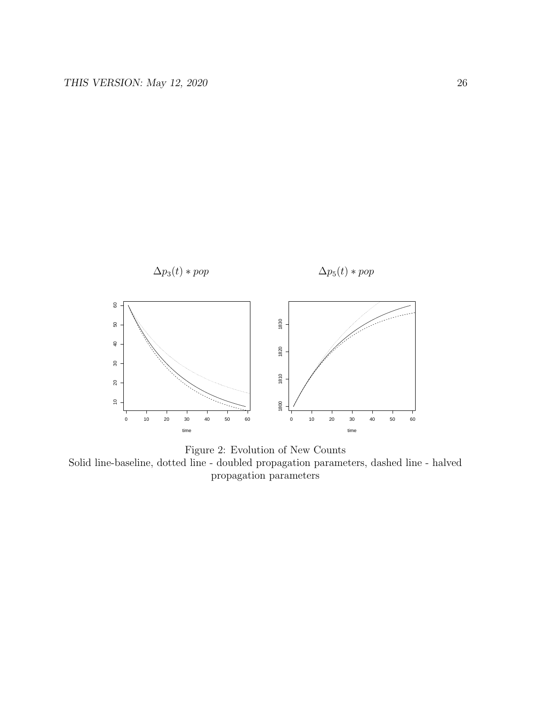



Solid line-baseline, dotted line - doubled propagation parameters, dashed line - halved propagation parameters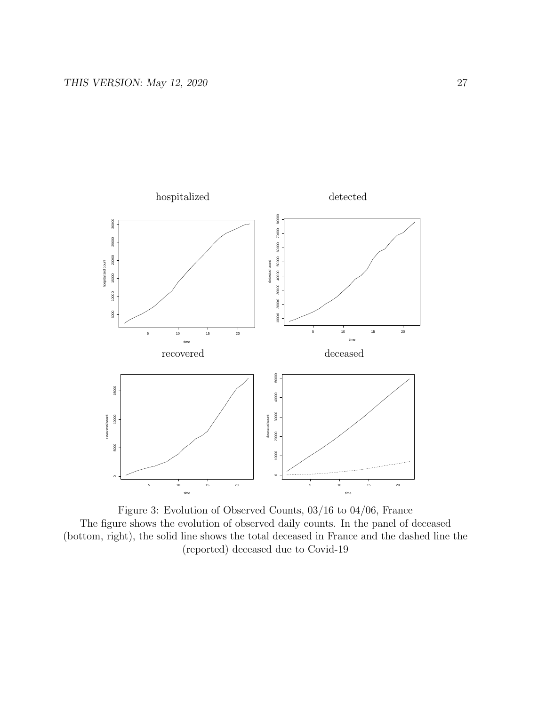

Figure 3: Evolution of Observed Counts, 03/16 to 04/06, France The figure shows the evolution of observed daily counts. In the panel of deceased (bottom, right), the solid line shows the total deceased in France and the dashed line the (reported) deceased due to Covid-19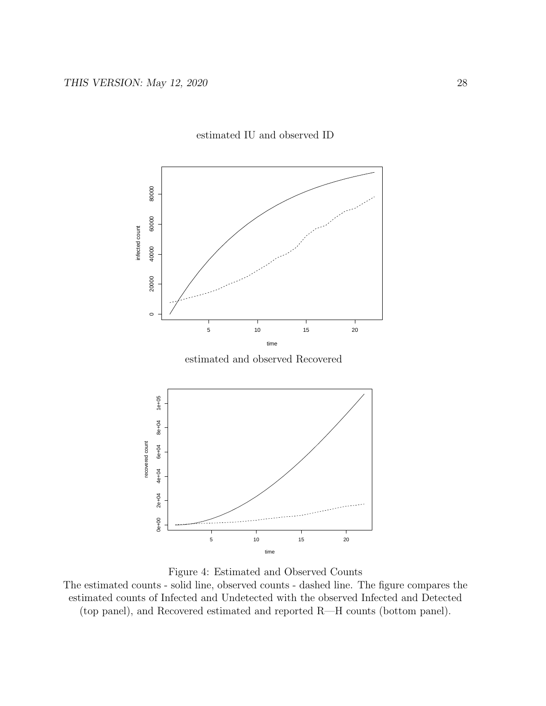

#### estimated IU and observed ID

estimated and observed Recovered



Figure 4: Estimated and Observed Counts

The estimated counts - solid line, observed counts - dashed line. The figure compares the estimated counts of Infected and Undetected with the observed Infected and Detected (top panel), and Recovered estimated and reported R—H counts (bottom panel).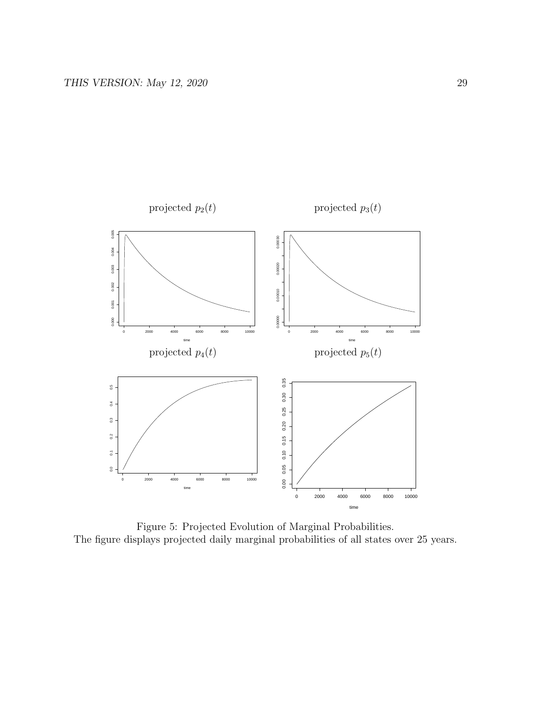

Figure 5: Projected Evolution of Marginal Probabilities. The figure displays projected daily marginal probabilities of all states over 25 years.